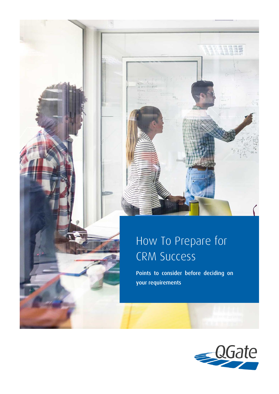

# How To Prepare for CRM Success

Points to consider before deciding on your requirements

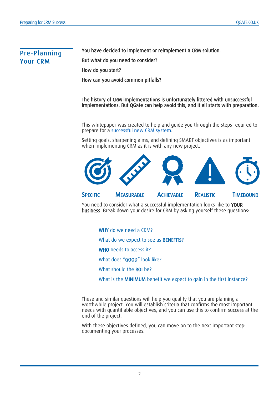# Pre-Planning Your CRM

You have decided to implement or reimplement a CRM solution. But what do you need to consider? How do you start? How can you avoid common pitfalls?

The history of CRM implementations is unfortunately littered with unsuccessful implementations. But QGate can help avoid this, and it all starts with preparation.

This whitepaper was created to help and guide you through the steps required to prepare for a [successful new CRM system.](https://www.qgate.co.uk/blog/what-is-the-qgate-crm-success-program/)

Setting goals, sharpening aims, and defining SMART objectives is as important when implementing CRM as it is with any new project.



You need to consider what a successful implementation looks like to YOUR business. Break down your desire for CRM by asking yourself these questions:

WHY do we need a CRM?

What do we expect to see as **BENEFITS**?

WHO needs to access it?

What does "GOOD" look like?

What should the ROI be?

What is the **MINIMUM** benefit we expect to gain in the first instance?

These and similar questions will help you qualify that you are planning a worthwhile project. You will establish criteria that confirms the most important needs with quantifiable objectives, and you can use this to confirm success at the end of the project.

With these objectives defined, you can move on to the next important step: documenting your processes.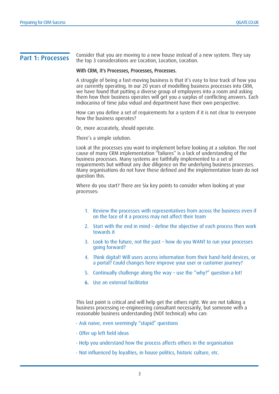**Part 1: Processes** Consider that you are moving to a new house instead of a new system. They say the top 3 considerations are Location, Location, Location.

#### With CRM, it's Processes, Processes, Processes.

A struggle of being a fast-moving business is that it's easy to lose track of how you are currently operating. In our 20 years of modelling business processes into CRM, we have found that putting a diverse group of employees into a room and asking them how their business operates will get you a surplus of conflicting answers. Each indiocarina of time juba vidual and department have their own perspective.

How can you define a set of requirements for a system if it is not clear to everyone how the business operates?

Or, more accurately, should operate.

There's a simple solution.

Look at the processes you want to implement before looking at a solution. The root cause of many CRM implementation "failures" is a lack of understanding of the business processes. Many systems are faithfully implemented to a set of requirements but without any due diligence on the underlying business processes. Many organisations do not have these defined and the implementation team do not question this.

Where do you start? There are Six key points to consider when looking at your processes:

- 1. Review the processes with representatives from across the business even if on the face of it a process may not affect their team
- 2. Start with the end in mind define the objective of each process then work towards it
- 3. Look to the future, not the past how do you WANT to run your processes going forward?
- 4. Think digital! Will users access information from their hand-held devices, or a portal? Could changes here improve your user or customer journey?
- 5. Continually challenge along the way use the "why?" question a lot!
- 6. Use an external facilitator

This last point is critical and will help get the others right. We are not talking a business processing re-engineering consultant necessarily, but someone with a reasonable business understanding (NOT technical) who can:

- · Ask naive, even seemingly "stupid" questions
- · Offer up left field ideas
- · Help you understand how the process affects others in the organisation
- · Not influenced by loyalties, in house politics, historic culture, etc.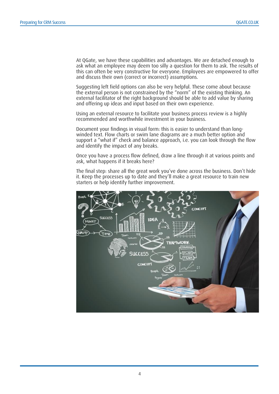At QGate, we have these capabilities and advantages. We are detached enough to ask what an employee may deem too silly a question for them to ask. The results of this can often be very constructive for everyone. Employees are empowered to offer and discuss their own (correct or incorrect) assumptions.

Suggesting left field options can also be very helpful. These come about because the external person is not constrained by the "norm" of the existing thinking. An external facilitator of the right background should be able to add value by sharing and offering up ideas and input based on their own experience.

Using an external resource to facilitate your business process review is a highly recommended and worthwhile investment in your business.

Document your findings in visual form: this is easier to understand than longwinded text. Flow charts or swim lane diagrams are a much better option and support a "what if" check and balance approach, i.e. you can look through the flow and identify the impact of any breaks.

Once you have a process flow defined, draw a line through it at various points and ask, what happens if it breaks here?

The final step: share all the great work you've done across the business. Don't hide it. Keep the processes up to date and they'll make a great resource to train new starters or help identify further improvement.

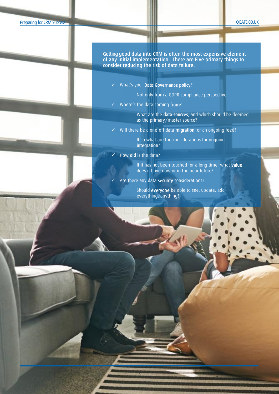#### QGATE.CO.UK

Getting good data into CRM is often the most expensive element of any initial implementation. There are Five primary things to consider reducing the risk of data failure:

✓ What's your Data Governance policy?

Not only from a GDPR compliance perspective.

✓ Where's the data coming from?

What are the data sources, and which should be deemed as the primary/master source?

✓ Will there be a one-off data migration, or an ongoing feed?

If so what are the considerations for ongoing integration?

How old is the data?

5

If it has not been touched for a long time, what value does it have now or in the near future?

Are there any data security considerations?

Should everyone be able to see, update, add everything/anything?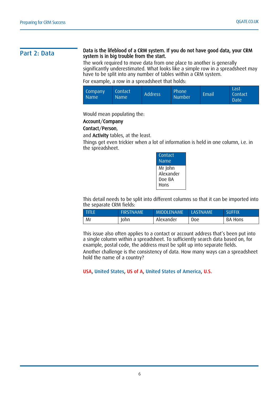#### Part 2: Data The lifeblood of a CRM system. If you do not have good data, your CRM system is in big trouble from the start.

The work required to move data from one place to another is generally significantly underestimated. What looks like a simple row in a spreadsheet may have to be split into any number of tables within a CRM system.

For example, a row in a spreadsheet that holds:

| Company<br><b>Name</b> | <b>Contact</b><br>Name <sup>1</sup> | <b>Address</b> | Phone<br><b>Number</b> | 'Email | Last<br><b>Contact</b><br>Date |
|------------------------|-------------------------------------|----------------|------------------------|--------|--------------------------------|
|------------------------|-------------------------------------|----------------|------------------------|--------|--------------------------------|

Would mean populating the:

### Account/Company

### Contact/Person,

and Activity tables, at the least.

Things get even trickier when a lot of information is held in one column, i.e. in the spreadsheet.

| Contact<br>Name                        |
|----------------------------------------|
| Mr John<br>Alexander<br>Doe BA<br>Hons |

This detail needs to be split into different columns so that it can be imported into the separate CRM fields:

| <b>TITLE</b> | <b>FIRSTNAME</b> | <b>MIDDLENAME</b> | LASTNAME | <b>SUFFIX</b> |
|--------------|------------------|-------------------|----------|---------------|
| Mr           | Iohn             | Alexander         | Doe      | BA Hons       |

This issue also often applies to a contact or account address that's been put into a single column within a spreadsheet. To sufficiently search data based on, for example, postal code, the address must be split up into separate fields.

Another challenge is the consistency of data. How many ways can a spreadsheet hold the name of a country?

USA, United States, US of A, United States of America, U.S.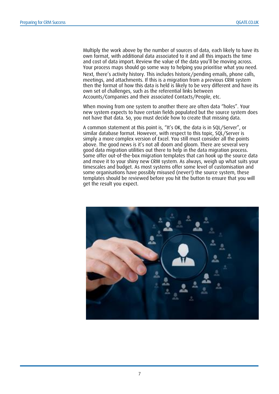Multiply the work above by the number of sources of data, each likely to have its own format, with additional data associated to it and all this impacts the time and cost of data import. Review the value of the data you'll be moving across. Your process maps should go some way to helping you prioritise what you need. Next, there's activity history. This includes historic/pending emails, phone calls, meetings, and attachments. If this is a migration from a previous CRM system then the format of how this data is held is likely to be very different and have its own set of challenges, such as the referential links between Accounts/Companies and their associated Contacts/People, etc.

When moving from one system to another there are often data "holes". Your new system expects to have certain fields populated but the source system does not have that data. So, you must decide how to create that missing data.

A common statement at this point is, "It's OK, the data is in SQL/Server", or similar database format. However, with respect to this topic, SQL/Server is simply a more complex version of Excel. You still must consider all the points above. The good news is it's not all doom and gloom. There are several very good data migration utilities out there to help in the data migration process. Some offer out-of-the-box migration templates that can hook up the source data and move it to your shiny new CRM system. As always, weigh up what suits your timescales and budget. As most systems offer some level of customisation and some organisations have possibly misused (never!) the source system, these templates should be reviewed before you hit the button to ensure that you will get the result you expect.

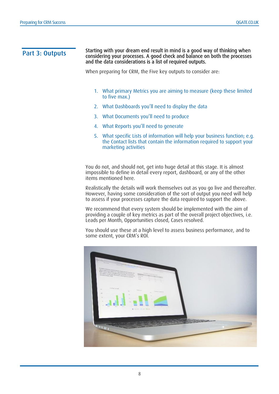#### **Part 3: Outputs** Starting with your dream end result in mind is a good way of thinking when<br>Part 3: Outputs separately were processed a good shock and balance on both the processes considering your processes. A good check and balance on both the processes and the data considerations is a list of required outputs.

When preparing for CRM, the Five key outputs to consider are:

- 1. What primary Metrics you are aiming to measure (keep these limited to five max.)
- 2. What Dashboards you'll need to display the data
- 3. What Documents you'll need to produce
- 4. What Reports you'll need to generate
- 5. What specific Lists of information will help your business function; e.g. the Contact lists that contain the information required to support your marketing activities

You do not, and should not, get into huge detail at this stage. It is almost impossible to define in detail every report, dashboard, or any of the other items mentioned here.

Realistically the details will work themselves out as you go live and thereafter. However, having some consideration of the sort of output you need will help to assess if your processes capture the data required to support the above.

We recommend that every system should be implemented with the aim of providing a couple of key metrics as part of the overall project objectives, i.e. Leads per Month, Opportunities closed, Cases resolved.

You should use these at a high level to assess business performance, and to some extent, your CRM's ROI.

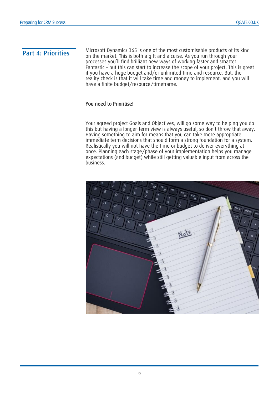**Part 4: Priorities** Microsoft Dynamics 365 is one of the most customisable products of its kind on the market. This is both a gift and a curse. As you run through your processes you'll find brilliant new ways of working faster and smarter. Fantastic – but this can start to increase the scope of your project. This is great if you have a huge budget and/or unlimited time and resource. But, the reality check is that it will take time and money to implement, and you will have a finite budget/resource/timeframe.

### You need to Prioritise!

Your agreed project Goals and Objectives, will go some way to helping you do this but having a longer-term view is always useful, so don't throw that away. Having something to aim for means that you can take more appropriate immediate term decisions that should form a strong foundation for a system. Realistically you will not have the time or budget to deliver everything at once. Planning each stage/phase of your implementation helps you manage expectations (and budget) while still getting valuable input from across the business.

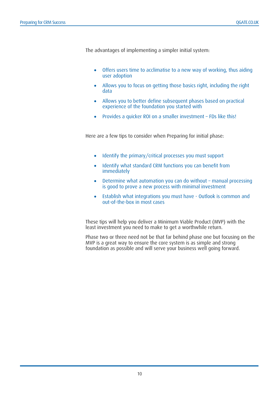The advantages of implementing a simpler initial system:

- Offers users time to acclimatise to a new way of working, thus aiding user adoption
- Allows you to focus on getting those basics right, including the right data
- Allows you to better define subsequent phases based on practical experience of the foundation you started with
- Provides a quicker ROI on a smaller investment FDs like this!

Here are a few tips to consider when Preparing for initial phase:

- Identify the primary/critical processes you must support
- Identify what standard CRM functions you can benefit from immediately
- Determine what automation you can do without manual processing is good to prove a new process with minimal investment
- Establish what integrations you must have Outlook is common and out-of-the-box in most cases

These tips will help you deliver a Minimum Viable Product (MVP) with the least investment you need to make to get a worthwhile return.

Phase two or three need not be that far behind phase one but focusing on the MVP is a great way to ensure the core system is as simple and strong foundation as possible and will serve your business well going forward.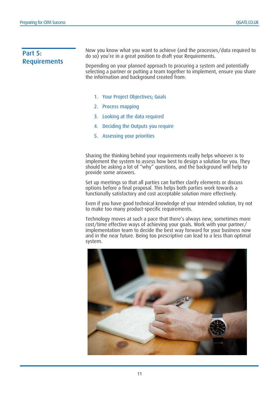# Part 5: **Requirements**

Now you know what you want to achieve (and the processes/data required to do so) you're in a great position to draft your Requirements.

Depending on your planned approach to procuring a system and potentially selecting a partner or putting a team together to implement, ensure you share the information and background created from:

- 1. Your Project Objectives; Goals
- 2. Process mapping
- 3. Looking at the data required
- 4. Deciding the Outputs you require
- 5. Assessing your priorities

Sharing the thinking behind your requirements really helps whoever is to implement the system to assess how best to design a solution for you. They should be asking a lot of "why" questions, and the background will help to provide some answers.

Set up meetings so that all parties can further clarify elements or discuss options before a final proposal. This helps both parties work towards a functionally satisfactory and cost acceptable solution more effectively.

Even if you have good technical knowledge of your intended solution, try not to make too many product-specific requirements.

Technology moves at such a pace that there's always new, sometimes more cost/time effective ways of achieving your goals. Work with your partner/ implementation team to decide the best way forward for your business now and in the near future. Being too prescriptive can lead to a less than optimal system.